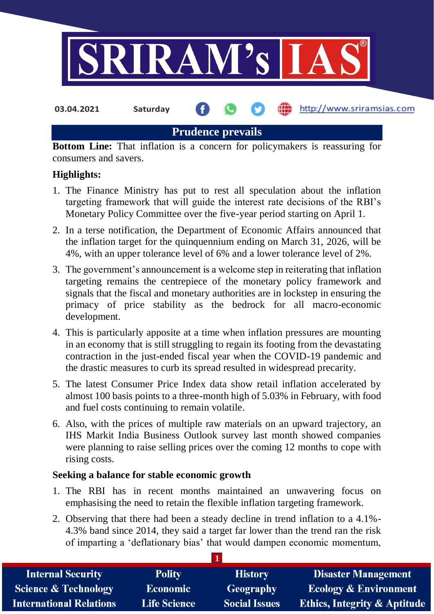

http://www.sriramsias.com

**Prudence prevails**

**Bottom Line:** That inflation is a concern for policymakers is reassuring for consumers and savers.

## **Highlights:**

- 1. The Finance Ministry has put to rest all speculation about the inflation targeting framework that will guide the interest rate decisions of the RBI's Monetary Policy Committee over the five-year period starting on April 1.
- 2. In a terse notification, the Department of Economic Affairs announced that the inflation target for the quinquennium ending on March 31, 2026, will be 4%, with an upper tolerance level of 6% and a lower tolerance level of 2%.
- 3. The government's announcement is a welcome step in reiterating that inflation targeting remains the centrepiece of the monetary policy framework and signals that the fiscal and monetary authorities are in lockstep in ensuring the primacy of price stability as the bedrock for all macro-economic development.
- 4. This is particularly apposite at a time when inflation pressures are mounting in an economy that is still struggling to regain its footing from the devastating contraction in the just-ended fiscal year when the COVID-19 pandemic and the drastic measures to curb its spread resulted in widespread precarity.
- 5. The latest Consumer Price Index data show retail inflation accelerated by almost 100 basis points to a three-month high of 5.03% in February, with food and fuel costs continuing to remain volatile.
- 6. Also, with the prices of multiple raw materials on an upward trajectory, an IHS Markit India Business Outlook survey last month showed companies were planning to raise selling prices over the coming 12 months to cope with rising costs.

## **Seeking a balance for stable economic growth**

- 1. The RBI has in recent months maintained an unwavering focus on emphasising the need to retain the flexible inflation targeting framework.
- 2. Observing that there had been a steady decline in trend inflation to a 4.1%- 4.3% band since 2014, they said a target far lower than the trend ran the risk of imparting a 'deflationary bias' that would dampen economic momentum,

| <b>Internal Security</b>        | <b>Polity</b>       | <b>History</b>       | <b>Disaster Management</b>              |  |  |
|---------------------------------|---------------------|----------------------|-----------------------------------------|--|--|
| <b>Science &amp; Technology</b> | <b>Economic</b>     | <b>Geography</b>     | <b>Ecology &amp; Environment</b>        |  |  |
| <b>International Relations</b>  | <b>Life Science</b> | <b>Social Issues</b> | <b>Ethics, Integrity &amp; Aptitude</b> |  |  |